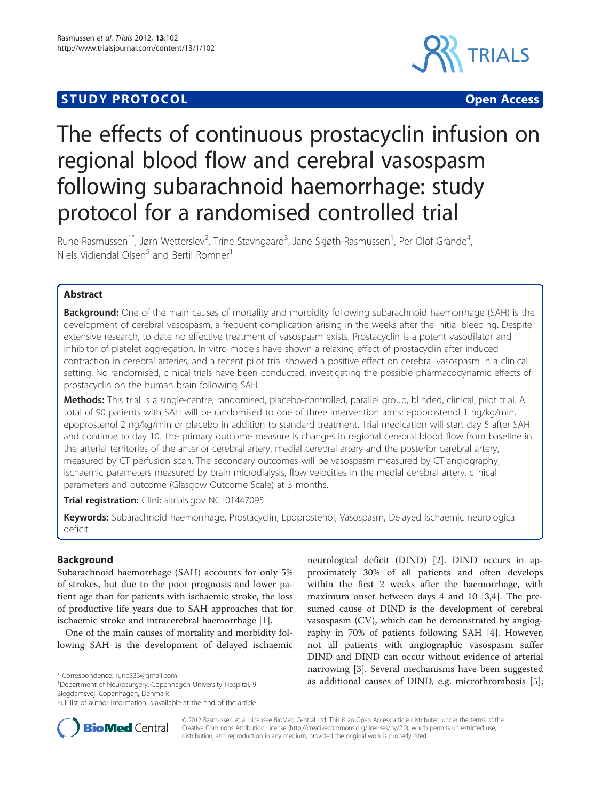# **STUDY PROTOCOL CONSUMING THE CONSUMING OPEN ACCESS**



# The effects of continuous prostacyclin infusion on regional blood flow and cerebral vasospasm following subarachnoid haemorrhage: study protocol for a randomised controlled trial

Rune Rasmussen<sup>1\*</sup>, Jørn Wetterslev<sup>2</sup>, Trine Stavngaard<sup>3</sup>, Jane Skjøth-Rasmussen<sup>1</sup>, Per Olof Grände<sup>4</sup> , Niels Vidiendal Olsen<sup>5</sup> and Bertil Romner<sup>1</sup>

# Abstract

Background: One of the main causes of mortality and morbidity following subarachnoid haemorrhage (SAH) is the development of cerebral vasospasm, a frequent complication arising in the weeks after the initial bleeding. Despite extensive research, to date no effective treatment of vasospasm exists. Prostacyclin is a potent vasodilator and inhibitor of platelet aggregation. In vitro models have shown a relaxing effect of prostacyclin after induced contraction in cerebral arteries, and a recent pilot trial showed a positive effect on cerebral vasospasm in a clinical setting. No randomised, clinical trials have been conducted, investigating the possible pharmacodynamic effects of prostacyclin on the human brain following SAH.

Methods: This trial is a single-centre, randomised, placebo-controlled, parallel group, blinded, clinical, pilot trial. A total of 90 patients with SAH will be randomised to one of three intervention arms: epoprostenol 1 ng/kg/min, epoprostenol 2 ng/kg/min or placebo in addition to standard treatment. Trial medication will start day 5 after SAH and continue to day 10. The primary outcome measure is changes in regional cerebral blood flow from baseline in the arterial territories of the anterior cerebral artery, medial cerebral artery and the posterior cerebral artery, measured by CT perfusion scan. The secondary outcomes will be vasospasm measured by CT angiography, ischaemic parameters measured by brain microdialysis, flow velocities in the medial cerebral artery, clinical parameters and outcome (Glasgow Outcome Scale) at 3 months.

Trial registration: Clinicaltrials.gov NCT01447095.

Keywords: Subarachnoid haemorrhage, Prostacyclin, Epoprostenol, Vasospasm, Delayed ischaemic neurological deficit

# Background

Subarachnoid haemorrhage (SAH) accounts for only 5% of strokes, but due to the poor prognosis and lower patient age than for patients with ischaemic stroke, the loss of productive life years due to SAH approaches that for ischaemic stroke and intracerebral haemorrhage [\[1\]](#page-5-0).

One of the main causes of mortality and morbidity following SAH is the development of delayed ischaemic

<sup>1</sup>Department of Neurosurgery, Copenhagen University Hospital, 9 Blegdamsvej, Copenhagen, Denmark

neurological deficit (DIND) [\[2\]](#page-5-0). DIND occurs in approximately 30% of all patients and often develops within the first 2 weeks after the haemorrhage, with maximum onset between days 4 and 10 [\[3,4](#page-5-0)]. The presumed cause of DIND is the development of cerebral vasospasm (CV), which can be demonstrated by angiography in 70% of patients following SAH [[4\]](#page-5-0). However, not all patients with angiographic vasospasm suffer DIND and DIND can occur without evidence of arterial narrowing [\[3](#page-5-0)]. Several mechanisms have been suggested as additional causes of DIND, e.g. microthrombosis [\[5](#page-5-0)]; \* Correspondence: [rune333@gmail.com](mailto:rune333@gmail.com) 1.<br>
<sup>1</sup>Department of Neurosurgery Copenhagen University Hospital 9 **as additional causes of DIND, e.g. microthrombosis** [5];



© 2012 Rasmussen et al.; licensee BioMed Central Ltd. This is an Open Access article distributed under the terms of the Creative Commons Attribution License (<http://creativecommons.org/licenses/by/2.0>), which permits unrestricted use, distribution, and reproduction in any medium, provided the original work is properly cited.

Full list of author information is available at the end of the article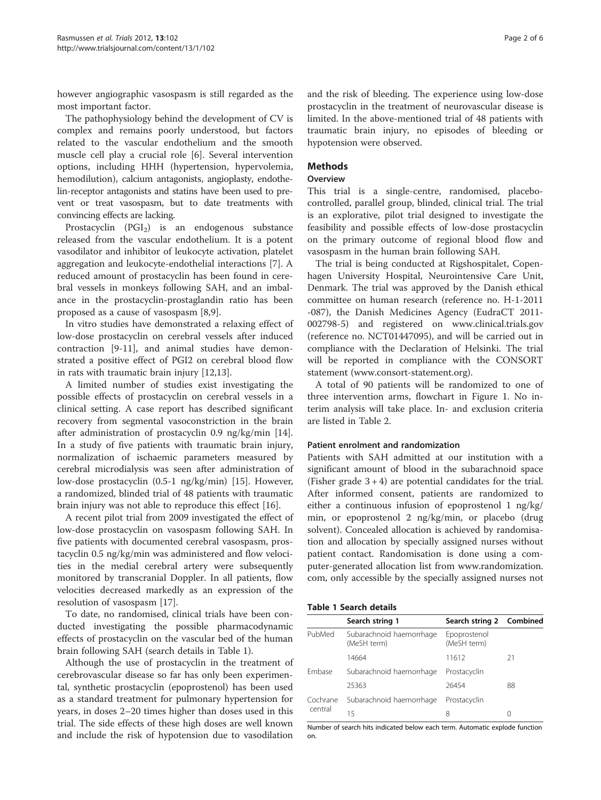however angiographic vasospasm is still regarded as the most important factor.

The pathophysiology behind the development of CV is complex and remains poorly understood, but factors related to the vascular endothelium and the smooth muscle cell play a crucial role [[6](#page-5-0)]. Several intervention options, including HHH (hypertension, hypervolemia, hemodilution), calcium antagonists, angioplasty, endothelin-receptor antagonists and statins have been used to prevent or treat vasospasm, but to date treatments with convincing effects are lacking.

Prostacyclin  $(PGI<sub>2</sub>)$  is an endogenous substance released from the vascular endothelium. It is a potent vasodilator and inhibitor of leukocyte activation, platelet aggregation and leukocyte-endothelial interactions [\[7](#page-5-0)]. A reduced amount of prostacyclin has been found in cerebral vessels in monkeys following SAH, and an imbalance in the prostacyclin-prostaglandin ratio has been proposed as a cause of vasospasm [[8,9\]](#page-5-0).

In vitro studies have demonstrated a relaxing effect of low-dose prostacyclin on cerebral vessels after induced contraction [\[9](#page-5-0)-[11\]](#page-5-0), and animal studies have demonstrated a positive effect of PGI2 on cerebral blood flow in rats with traumatic brain injury [[12,13\]](#page-5-0).

A limited number of studies exist investigating the possible effects of prostacyclin on cerebral vessels in a clinical setting. A case report has described significant recovery from segmental vasoconstriction in the brain after administration of prostacyclin 0.9 ng/kg/min [\[14](#page-5-0)]. In a study of five patients with traumatic brain injury, normalization of ischaemic parameters measured by cerebral microdialysis was seen after administration of low-dose prostacyclin (0.5-1 ng/kg/min) [[15\]](#page-5-0). However, a randomized, blinded trial of 48 patients with traumatic brain injury was not able to reproduce this effect [\[16](#page-5-0)].

A recent pilot trial from 2009 investigated the effect of low-dose prostacyclin on vasospasm following SAH. In five patients with documented cerebral vasospasm, prostacyclin 0.5 ng/kg/min was administered and flow velocities in the medial cerebral artery were subsequently monitored by transcranial Doppler. In all patients, flow velocities decreased markedly as an expression of the resolution of vasospasm [\[17](#page-5-0)].

To date, no randomised, clinical trials have been conducted investigating the possible pharmacodynamic effects of prostacyclin on the vascular bed of the human brain following SAH (search details in Table 1).

Although the use of prostacyclin in the treatment of cerebrovascular disease so far has only been experimental, synthetic prostacyclin (epoprostenol) has been used as a standard treatment for pulmonary hypertension for years, in doses 2–20 times higher than doses used in this trial. The side effects of these high doses are well known and include the risk of hypotension due to vasodilation

and the risk of bleeding. The experience using low-dose prostacyclin in the treatment of neurovascular disease is limited. In the above-mentioned trial of 48 patients with traumatic brain injury, no episodes of bleeding or hypotension were observed.

# Methods

#### **Overview**

This trial is a single-centre, randomised, placebocontrolled, parallel group, blinded, clinical trial. The trial is an explorative, pilot trial designed to investigate the feasibility and possible effects of low-dose prostacyclin on the primary outcome of regional blood flow and vasospasm in the human brain following SAH.

The trial is being conducted at Rigshospitalet, Copenhagen University Hospital, Neurointensive Care Unit, Denmark. The trial was approved by the Danish ethical committee on human research (reference no. H-1-2011 -087), the Danish Medicines Agency (EudraCT 2011- 002798-5) and registered on [www.clinical.trials.gov](http://www.clinical.trials.gov) (reference no. NCT01447095), and will be carried out in compliance with the Declaration of Helsinki. The trial will be reported in compliance with the CONSORT statement ([www.consort-statement.org](http://www.consort-statement.org)).

A total of 90 patients will be randomized to one of three intervention arms, flowchart in Figure [1](#page-2-0). No interim analysis will take place. In- and exclusion criteria are listed in Table [2.](#page-2-0)

#### Patient enrolment and randomization

Patients with SAH admitted at our institution with a significant amount of blood in the subarachnoid space (Fisher grade  $3 + 4$ ) are potential candidates for the trial. After informed consent, patients are randomized to either a continuous infusion of epoprostenol 1 ng/kg/ min, or epoprostenol 2 ng/kg/min, or placebo (drug solvent). Concealed allocation is achieved by randomisation and allocation by specially assigned nurses without patient contact. Randomisation is done using a computer-generated allocation list from [www.randomization.](http://www.randomization.com) [com](http://www.randomization.com), only accessible by the specially assigned nurses not

#### Table 1 Search details

|                     | Search string 1                         | Search string 2 Combined    |    |
|---------------------|-----------------------------------------|-----------------------------|----|
| PubMed              | Subarachnoid haemorrhage<br>(MeSH term) | Epoprostenol<br>(MeSH term) |    |
|                     | 14664                                   | 11612                       | 21 |
| Embase              | Subarachnoid haemorrhage                | Prostacyclin                |    |
|                     | 25363                                   | 26454                       | 88 |
| Cochrane<br>central | Subarachnoid haemorrhage                | Prostacyclin                |    |
|                     | 15                                      | 8                           |    |

Number of search hits indicated below each term. Automatic explode function on.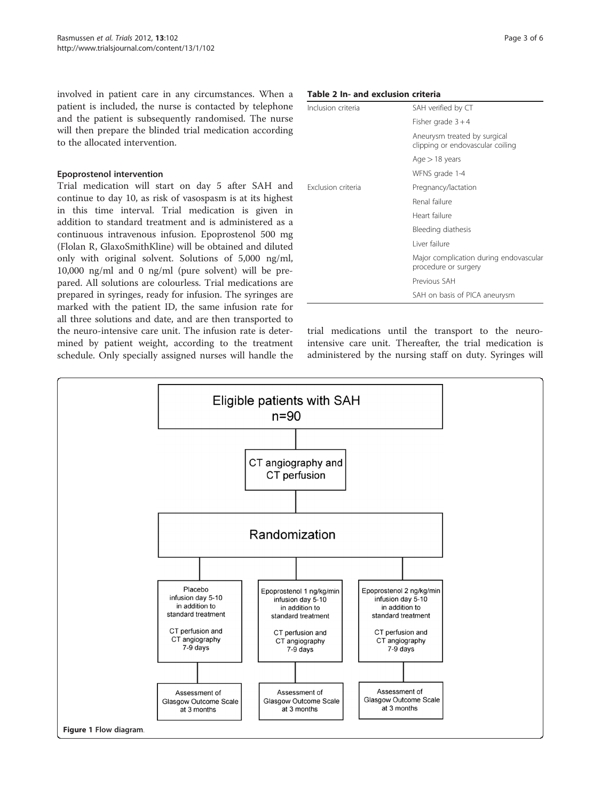<span id="page-2-0"></span>involved in patient care in any circumstances. When a patient is included, the nurse is contacted by telephone and the patient is subsequently randomised. The nurse will then prepare the blinded trial medication according to the allocated intervention.

#### Epoprostenol intervention

Trial medication will start on day 5 after SAH and continue to day 10, as risk of vasospasm is at its highest in this time interval. Trial medication is given in addition to standard treatment and is administered as a continuous intravenous infusion. Epoprostenol 500 mg (Flolan R, GlaxoSmithKline) will be obtained and diluted only with original solvent. Solutions of 5,000 ng/ml, 10,000 ng/ml and 0 ng/ml (pure solvent) will be prepared. All solutions are colourless. Trial medications are prepared in syringes, ready for infusion. The syringes are marked with the patient ID, the same infusion rate for all three solutions and date, and are then transported to the neuro-intensive care unit. The infusion rate is determined by patient weight, according to the treatment schedule. Only specially assigned nurses will handle the



|                    | Fisher grade $3+4$                                               |
|--------------------|------------------------------------------------------------------|
|                    | Aneurysm treated by surgical<br>clipping or endovascular coiling |
|                    | $Age > 18$ years                                                 |
|                    | WFNS grade 1-4                                                   |
| Exclusion criteria | Pregnancy/lactation                                              |
|                    | Renal failure                                                    |
|                    | Heart failure                                                    |
|                    | Bleeding diathesis                                               |
|                    | Liver failure                                                    |
|                    | Major complication during endovascular<br>procedure or surgery   |
|                    | Previous SAH                                                     |
|                    | SAH on basis of PICA aneurysm                                    |

trial medications until the transport to the neurointensive care unit. Thereafter, the trial medication is administered by the nursing staff on duty. Syringes will

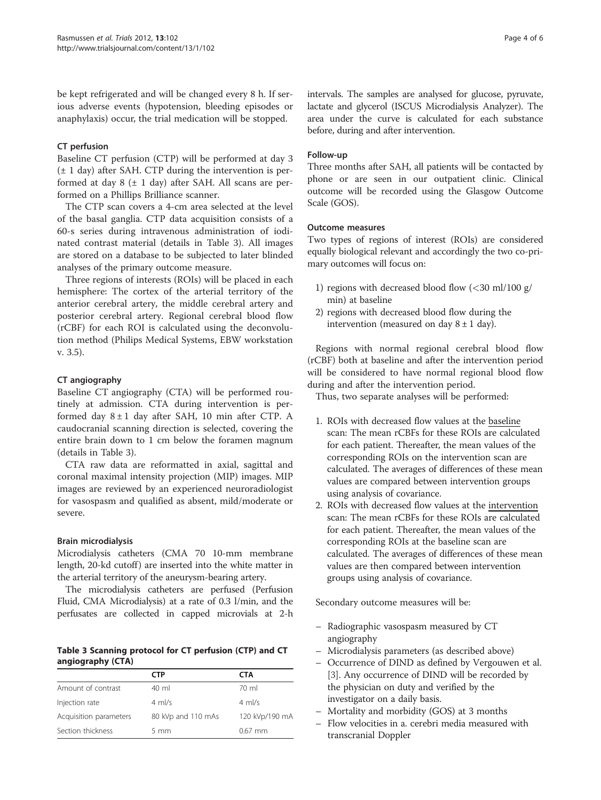be kept refrigerated and will be changed every 8 h. If serious adverse events (hypotension, bleeding episodes or anaphylaxis) occur, the trial medication will be stopped.

# CT perfusion

Baseline CT perfusion (CTP) will be performed at day 3 (± 1 day) after SAH. CTP during the intervention is performed at day  $8$  ( $\pm$  1 day) after SAH. All scans are performed on a Phillips Brilliance scanner.

The CTP scan covers a 4-cm area selected at the level of the basal ganglia. CTP data acquisition consists of a 60-s series during intravenous administration of iodinated contrast material (details in Table 3). All images are stored on a database to be subjected to later blinded analyses of the primary outcome measure.

Three regions of interests (ROIs) will be placed in each hemisphere: The cortex of the arterial territory of the anterior cerebral artery, the middle cerebral artery and posterior cerebral artery. Regional cerebral blood flow (rCBF) for each ROI is calculated using the deconvolution method (Philips Medical Systems, EBW workstation v. 3.5).

# CT angiography

Baseline CT angiography (CTA) will be performed routinely at admission. CTA during intervention is performed day  $8 \pm 1$  day after SAH, 10 min after CTP. A caudocranial scanning direction is selected, covering the entire brain down to 1 cm below the foramen magnum (details in Table 3).

CTA raw data are reformatted in axial, sagittal and coronal maximal intensity projection (MIP) images. MIP images are reviewed by an experienced neuroradiologist for vasospasm and qualified as absent, mild/moderate or severe.

### Brain microdialysis

Microdialysis catheters (CMA 70 10-mm membrane length, 20-kd cutoff) are inserted into the white matter in the arterial territory of the aneurysm-bearing artery.

The microdialysis catheters are perfused (Perfusion Fluid, CMA Microdialysis) at a rate of 0.3 l/min, and the perfusates are collected in capped microvials at 2-h

### Table 3 Scanning protocol for CT perfusion (CTP) and CT angiography (CTA)

|                        | <b>CTP</b>         | <b>CTA</b>     |
|------------------------|--------------------|----------------|
| Amount of contrast     | 40 ml              | 70 ml          |
| Injection rate         | $4$ ml/s           | $4$ ml/s       |
| Acquisition parameters | 80 kVp and 110 mAs | 120 kVp/190 mA |
| Section thickness      | $5 \text{ mm}$     | $0.67$ mm      |

intervals. The samples are analysed for glucose, pyruvate, lactate and glycerol (ISCUS Microdialysis Analyzer). The area under the curve is calculated for each substance before, during and after intervention.

# Follow-up

Three months after SAH, all patients will be contacted by phone or are seen in our outpatient clinic. Clinical outcome will be recorded using the Glasgow Outcome Scale (GOS).

### Outcome measures

Two types of regions of interest (ROIs) are considered equally biological relevant and accordingly the two co-primary outcomes will focus on:

- 1) regions with decreased blood flow (<30 ml/100 g/ min) at baseline
- 2) regions with decreased blood flow during the intervention (measured on day  $8 \pm 1$  day).

Regions with normal regional cerebral blood flow (rCBF) both at baseline and after the intervention period will be considered to have normal regional blood flow during and after the intervention period.

Thus, two separate analyses will be performed:

- 1. ROIs with decreased flow values at the baseline scan: The mean rCBFs for these ROIs are calculated for each patient. Thereafter, the mean values of the corresponding ROIs on the intervention scan are calculated. The averages of differences of these mean values are compared between intervention groups using analysis of covariance.
- 2. ROIs with decreased flow values at the intervention scan: The mean rCBFs for these ROIs are calculated for each patient. Thereafter, the mean values of the corresponding ROIs at the baseline scan are calculated. The averages of differences of these mean values are then compared between intervention groups using analysis of covariance.

Secondary outcome measures will be:

- Radiographic vasospasm measured by CT angiography
- Microdialysis parameters (as described above)
- Occurrence of DIND as defined by Vergouwen et al. [[3\]](#page-5-0). Any occurrence of DIND will be recorded by the physician on duty and verified by the investigator on a daily basis.
- Mortality and morbidity (GOS) at 3 months
- Flow velocities in a. cerebri media measured with transcranial Doppler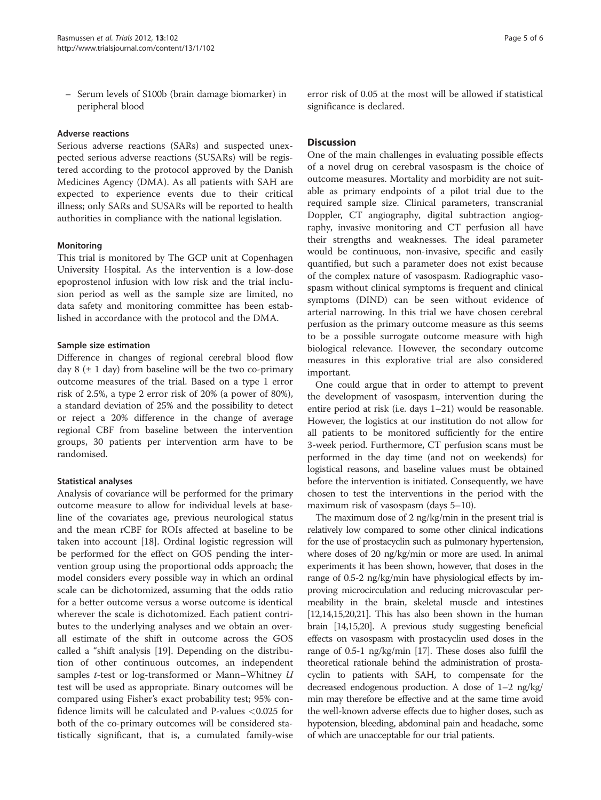– Serum levels of S100b (brain damage biomarker) in peripheral blood

#### Adverse reactions

Serious adverse reactions (SARs) and suspected unexpected serious adverse reactions (SUSARs) will be registered according to the protocol approved by the Danish Medicines Agency (DMA). As all patients with SAH are expected to experience events due to their critical illness; only SARs and SUSARs will be reported to health authorities in compliance with the national legislation.

#### Monitoring

This trial is monitored by The GCP unit at Copenhagen University Hospital. As the intervention is a low-dose epoprostenol infusion with low risk and the trial inclusion period as well as the sample size are limited, no data safety and monitoring committee has been established in accordance with the protocol and the DMA.

#### Sample size estimation

Difference in changes of regional cerebral blood flow day  $8$  ( $\pm$  1 day) from baseline will be the two co-primary outcome measures of the trial. Based on a type 1 error risk of 2.5%, a type 2 error risk of 20% (a power of 80%), a standard deviation of 25% and the possibility to detect or reject a 20% difference in the change of average regional CBF from baseline between the intervention groups, 30 patients per intervention arm have to be randomised.

### Statistical analyses

Analysis of covariance will be performed for the primary outcome measure to allow for individual levels at baseline of the covariates age, previous neurological status and the mean rCBF for ROIs affected at baseline to be taken into account [[18\]](#page-5-0). Ordinal logistic regression will be performed for the effect on GOS pending the intervention group using the proportional odds approach; the model considers every possible way in which an ordinal scale can be dichotomized, assuming that the odds ratio for a better outcome versus a worse outcome is identical wherever the scale is dichotomized. Each patient contributes to the underlying analyses and we obtain an overall estimate of the shift in outcome across the GOS called a "shift analysis [\[19](#page-5-0)]. Depending on the distribution of other continuous outcomes, an independent samples  $t$ -test or log-transformed or Mann–Whitney  $U$ test will be used as appropriate. Binary outcomes will be compared using Fisher's exact probability test; 95% confidence limits will be calculated and P-values <0.025 for both of the co-primary outcomes will be considered statistically significant, that is, a cumulated family-wise

error risk of 0.05 at the most will be allowed if statistical significance is declared.

# Discussion

One of the main challenges in evaluating possible effects of a novel drug on cerebral vasospasm is the choice of outcome measures. Mortality and morbidity are not suitable as primary endpoints of a pilot trial due to the required sample size. Clinical parameters, transcranial Doppler, CT angiography, digital subtraction angiography, invasive monitoring and CT perfusion all have their strengths and weaknesses. The ideal parameter would be continuous, non-invasive, specific and easily quantified, but such a parameter does not exist because of the complex nature of vasospasm. Radiographic vasospasm without clinical symptoms is frequent and clinical symptoms (DIND) can be seen without evidence of arterial narrowing. In this trial we have chosen cerebral perfusion as the primary outcome measure as this seems to be a possible surrogate outcome measure with high biological relevance. However, the secondary outcome measures in this explorative trial are also considered important.

One could argue that in order to attempt to prevent the development of vasospasm, intervention during the entire period at risk (i.e. days 1–21) would be reasonable. However, the logistics at our institution do not allow for all patients to be monitored sufficiently for the entire 3-week period. Furthermore, CT perfusion scans must be performed in the day time (and not on weekends) for logistical reasons, and baseline values must be obtained before the intervention is initiated. Consequently, we have chosen to test the interventions in the period with the maximum risk of vasospasm (days 5–10).

The maximum dose of 2 ng/kg/min in the present trial is relatively low compared to some other clinical indications for the use of prostacyclin such as pulmonary hypertension, where doses of 20 ng/kg/min or more are used. In animal experiments it has been shown, however, that doses in the range of 0.5-2 ng/kg/min have physiological effects by improving microcirculation and reducing microvascular permeability in the brain, skeletal muscle and intestines [[12,14,15,20,21\]](#page-5-0). This has also been shown in the human brain [[14,15,20](#page-5-0)]. A previous study suggesting beneficial effects on vasospasm with prostacyclin used doses in the range of 0.5-1 ng/kg/min [\[17](#page-5-0)]. These doses also fulfil the theoretical rationale behind the administration of prostacyclin to patients with SAH, to compensate for the decreased endogenous production. A dose of 1–2 ng/kg/ min may therefore be effective and at the same time avoid the well-known adverse effects due to higher doses, such as hypotension, bleeding, abdominal pain and headache, some of which are unacceptable for our trial patients.